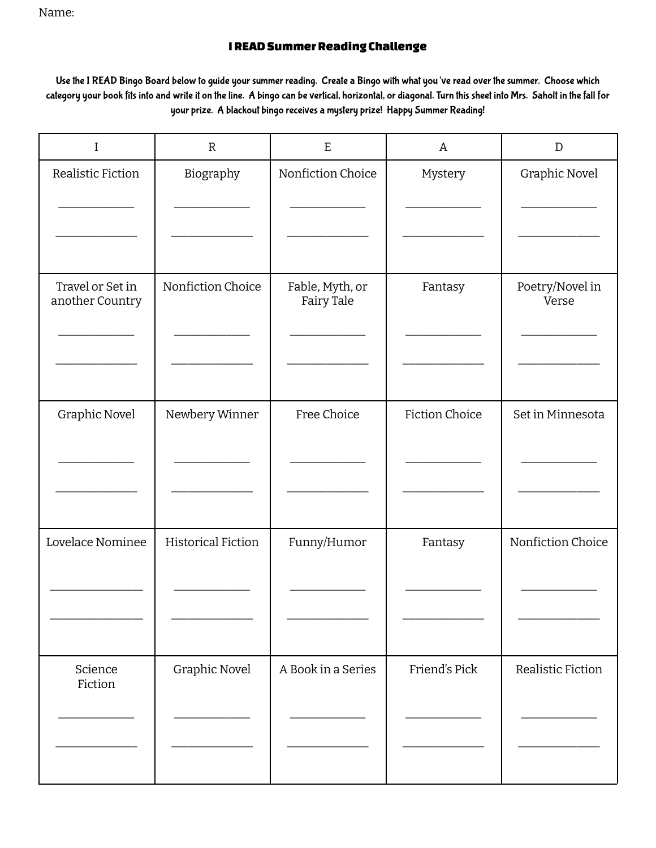Name:

## **I READ Summer Reading Challenge**

Use the I READ Bingo Board below to guide your summer reading. Create a Bingo with what you've read over the summer. Choose which category your book fits into and write it on the line. A bingo can be vertical, horizontal, or diagonal. Turn this sheet into Mrs. Saholt in the fall for your prize. A blackout bingo receives a mystery prize! Happy Summer Reading!

| $\bf{I}$           | $\mathbb{R}$              | $\mathbf E$        | Α                     | $\mathbf D$              |
|--------------------|---------------------------|--------------------|-----------------------|--------------------------|
| Realistic Fiction  | Biography                 | Nonfiction Choice  | Mystery               | Graphic Novel            |
|                    |                           |                    |                       |                          |
|                    |                           |                    |                       |                          |
|                    |                           |                    |                       |                          |
| Travel or Set in   | Nonfiction Choice         | Fable, Myth, or    | Fantasy               | Poetry/Novel in<br>Verse |
| another Country    |                           | Fairy Tale         |                       |                          |
|                    |                           |                    |                       |                          |
|                    |                           |                    |                       |                          |
|                    |                           |                    |                       |                          |
| Graphic Novel      | Newbery Winner            | Free Choice        | <b>Fiction Choice</b> | Set in Minnesota         |
|                    |                           |                    |                       |                          |
|                    |                           |                    |                       |                          |
|                    |                           |                    |                       |                          |
| Lovelace Nominee   | <b>Historical Fiction</b> | Funny/Humor        | Fantasy               | Nonfiction Choice        |
|                    |                           |                    |                       |                          |
|                    |                           |                    |                       |                          |
|                    |                           |                    |                       |                          |
|                    |                           | A Book in a Series | Friend's Pick         |                          |
| Science<br>Fiction | Graphic Novel             |                    |                       | Realistic Fiction        |
|                    |                           |                    |                       |                          |
|                    |                           |                    |                       |                          |
|                    |                           |                    |                       |                          |